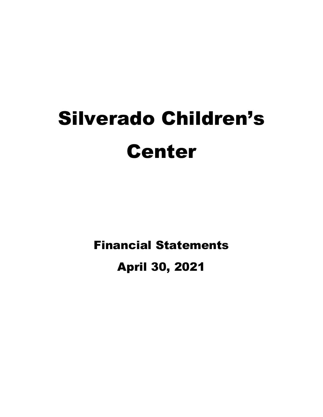# Silverado Children's Center

Financial Statements

April 30, 2021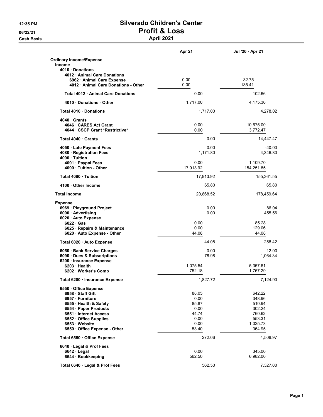Cash Basis **April 2021** 

|                                                                        | Apr 21         | Jul '20 - Apr 21      |
|------------------------------------------------------------------------|----------------|-----------------------|
| <b>Ordinary Income/Expense</b><br><b>Income</b>                        |                |                       |
| 4010 Donations<br>4012 Animal Care Donations                           |                |                       |
| 6962 Animal Care Expense                                               | 0.00           | $-32.75$              |
| 4012 · Animal Care Donations - Other                                   | 0.00           | 135.41                |
| Total 4012 Animal Care Donations                                       | 0.00           | 102.66                |
| 4010 Donations - Other                                                 | 1,717.00       | 4,175.36              |
| Total 4010 Donations                                                   | 1,717.00       | 4,278.02              |
| 4040 Grants<br>4046 CARES Act Grant<br>4044 · CSCP Grant *Restrictive* | 0.00<br>0.00   | 10,675.00<br>3,772.47 |
| Total 4040 Grants                                                      | 0.00           | 14,447.47             |
| 4050 Late Payment Fees                                                 | 0.00           | $-40.00$              |
| 4080 · Registration Fees<br>4090 Tuition                               | 1,171.80       | 4,346.80              |
| 4091 · Paypal Fees                                                     | 0.00           | 1,109.70              |
| 4090 · Tuition - Other                                                 | 17,913.92      | 154,251.85            |
| Total 4090 · Tuition                                                   | 17,913.92      | 155,361.55            |
| 4100 Other Income                                                      | 65.80          | 65.80                 |
| <b>Total Income</b>                                                    | 20,868.52      | 178,459.64            |
| <b>Expense</b>                                                         |                |                       |
| 6969 · Playground Project                                              | 0.00<br>0.00   | 86.04<br>455.56       |
| 6000 Advertising<br>6020 Auto Expense                                  |                |                       |
| $6022 \cdot Gas$                                                       | 0.00           | 85.28                 |
| 6025 · Repairs & Maintenance                                           | 0.00           | 129.06                |
| 6020 · Auto Expense - Other                                            | 44.08          | 44.08                 |
| Total 6020 · Auto Expense                                              | 44.08          | 258.42                |
| 6050 Bank Service Charges                                              | 0.00           | 12.00                 |
| 6090 · Dues & Subscriptions                                            | 78.98          | 1,064.34              |
| 6200 Insurance Expense<br>6203 Health                                  | 1,075.54       | 5,357.61              |
| 6202 · Worker's Comp                                                   | 752.18         | 1,767.29              |
| Total 6200 · Insurance Expense                                         | 1,827.72       | 7,124.90              |
| 6550 Office Expense                                                    |                |                       |
| 6958 · Staff Gift                                                      | 88.05          | 642.22                |
| 6957 · Furniture<br>6555 · Health & Safety                             | 0.00<br>85.87  | 348.96<br>510.94      |
| 6554 · Paper Products                                                  | 0.00           | 302.24                |
| 6551 Internet Access                                                   | 44.74          | 760.62                |
| 6552 Office Supplies                                                   | 0.00           | 553.31                |
| 6553 Website                                                           | 0.00           | 1,025.73              |
| 6550 Office Expense - Other                                            | 53.40          | 364.95                |
| Total 6550 · Office Expense                                            | 272.06         | 4,508.97              |
| 6640 Legal & Prof Fees                                                 |                |                       |
| $6642 \cdot$ Legal<br>6644 · Bookkeeping                               | 0.00<br>562.50 | 345.00<br>6,982.00    |
|                                                                        |                |                       |
| Total 6640 · Legal & Prof Fees                                         | 562.50         | 7,327.00              |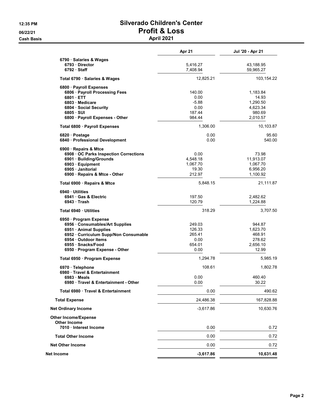#### 12:35 PM Silverado Children's Center 06/22/21 Profit & Loss Cash Basis **April 2021**

|                                                    | Apr 21               | Jul '20 - Apr 21       |
|----------------------------------------------------|----------------------|------------------------|
| 6790 · Salaries & Wages                            |                      |                        |
| 6793 Director<br>$6792 \cdot$ Staff                | 5,416.27<br>7,408.94 | 43,188.95<br>59,965.27 |
| Total 6790 · Salaries & Wages                      | 12,825.21            | 103,154.22             |
| 6800 · Payroll Expenses                            |                      |                        |
| 6806 · Payroll Processing Fees                     | 140.00               | 1,183.84               |
| $6801 \cdot ETT$                                   | 0.00                 | 14.93                  |
| 6803 Medicare                                      | $-5.88$              | 1,290.50               |
| 6804 Social Security                               | 0.00                 | 4,623.34               |
| $6805 \cdot SUI$                                   | 187.44<br>984.44     | 980.69<br>2,010.57     |
| 6800 · Payroll Expenses - Other                    |                      |                        |
| Total 6800 · Payroll Expenses                      | 1,306.00             | 10,103.87              |
| 6820 Postage                                       | 0.00                 | 95.60                  |
| 6840 · Professional Development                    | 0.00                 | 540.00                 |
| 6900 · Repairs & Mtce                              |                      |                        |
| 6908 OC Parks Inspection Corrections               | 0.00                 | 73.98                  |
| 6901 · Building/Grounds                            | 4,548.18             | 11,913.07              |
| 6903 Equipment                                     | 1,067.70             | 1,067.70               |
| 6905 Janitorial                                    | 19.30                | 6,956.20               |
| 6900 · Repairs & Mtce - Other                      | 212.97               | 1,100.92               |
| Total 6900 · Repairs & Mtce                        | 5,848.15             | 21,111.87              |
| 6940 Utilities                                     |                      |                        |
| 6941 Gas & Electric                                | 197.50               | 2,482.62               |
| 6943 Trash                                         | 120.79               | 1,224.88               |
| Total 6940 · Utilities                             | 318.29               | 3,707.50               |
| 6950 · Program Expense                             |                      |                        |
| 6956 Consumables/Art Supplies                      | 249.03               | 944.87                 |
| 6951 Animal Supplies                               | 126.33               | 1,623.70               |
| 6952 Curriculum Supp/Non Consumable                | 265.41               | 468.91                 |
| 6954 Outdoor Items                                 | 0.00                 | 278.62                 |
| 6955 Snacks/Food                                   | 654.01               | 2,656.10               |
| 6950 · Program Expense - Other                     | 0.00                 | 12.99                  |
| Total 6950 · Program Expense                       | 1,294.78             | 5,985.19               |
| 6970 · Telephone                                   | 108.61               | 1,802.78               |
| 6980 Travel & Entertainment                        |                      |                        |
| 6983 Meals                                         | 0.00                 | 460.40                 |
| 6980 · Travel & Entertainment - Other              | 0.00                 | 30.22                  |
| Total 6980 Travel & Entertainment                  | 0.00                 | 490.62                 |
| <b>Total Expense</b>                               | 24,486.38            | 167,828.88             |
| <b>Net Ordinary Income</b>                         | $-3,617.86$          | 10,630.76              |
| <b>Other Income/Expense</b><br><b>Other Income</b> |                      |                        |
| 7010 Interest Income                               | 0.00                 | 0.72                   |
| <b>Total Other Income</b>                          | 0.00                 | 0.72                   |
| <b>Net Other Income</b>                            | 0.00                 | 0.72                   |
| Net Income                                         | $-3,617.86$          | 10,631.48              |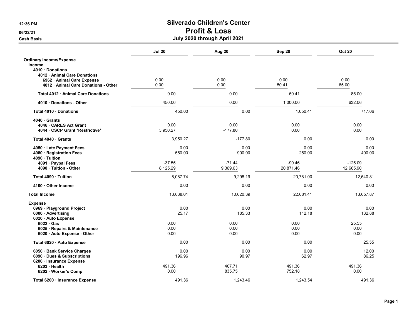|                                      | <b>Jul 20</b> | Aug 20    | Sep 20    | <b>Oct 20</b> |
|--------------------------------------|---------------|-----------|-----------|---------------|
| <b>Ordinary Income/Expense</b>       |               |           |           |               |
| Income                               |               |           |           |               |
| 4010 Donations                       |               |           |           |               |
| 4012 Animal Care Donations           |               |           |           |               |
| 6962 · Animal Care Expense           | 0.00          | 0.00      | 0.00      | 0.00          |
| 4012 · Animal Care Donations - Other | 0.00          | 0.00      | 50.41     | 85.00         |
| Total 4012 Animal Care Donations     | 0.00          | 0.00      | 50.41     | 85.00         |
| 4010 Donations - Other               | 450.00        | 0.00      | 1,000.00  | 632.06        |
| Total 4010 · Donations               | 450.00        | 0.00      | 1,050.41  | 717.06        |
| 4040 Grants                          |               |           |           |               |
| 4046 CARES Act Grant                 | 0.00          | 0.00      | 0.00      | 0.00          |
| 4044 CSCP Grant *Restrictive*        | 3,950.27      | $-177.80$ | 0.00      | 0.00          |
| Total 4040 Grants                    | 3,950.27      | $-177.80$ | 0.00      | 0.00          |
| 4050 · Late Payment Fees             | 0.00          | 0.00      | 0.00      | 0.00          |
| 4080 · Registration Fees             | 550.00        | 900.00    | 250.00    | 400.00        |
| 4090 · Tuition                       |               |           |           |               |
| 4091 · Paypal Fees                   | $-37.55$      | $-71.44$  | $-90.46$  | $-125.09$     |
| 4090 Tuition - Other                 | 8,125.29      | 9,369.63  | 20,871.46 | 12,665.90     |
| Total 4090 · Tuition                 | 8,087.74      | 9,298.19  | 20,781.00 | 12,540.81     |
| 4100 Other Income                    | 0.00          | 0.00      | 0.00      | 0.00          |
| <b>Total Income</b>                  | 13,038.01     | 10,020.39 | 22,081.41 | 13,657.87     |
| <b>Expense</b>                       |               |           |           |               |
| 6969 · Playground Project            | 0.00          | 0.00      | 0.00      | 0.00          |
| 6000 · Advertising                   | 25.17         | 185.33    | 112.18    | 132.88        |
| 6020 · Auto Expense                  |               |           |           |               |
| $6022 \cdot Gas$                     | 0.00          | 0.00      | 0.00      | 25.55         |
| 6025 · Repairs & Maintenance         | 0.00          | 0.00      | 0.00      | 0.00          |
| 6020 · Auto Expense - Other          | 0.00          | 0.00      | 0.00      | 0.00          |
| Total 6020 · Auto Expense            | 0.00          | 0.00      | 0.00      | 25.55         |
| 6050 · Bank Service Charges          | 0.00          | 0.00      | 0.00      | 12.00         |
| 6090 Dues & Subscriptions            | 196.96        | 90.97     | 62.97     | 86.25         |
| 6200 · Insurance Expense             |               |           |           |               |
| 6203 · Health                        | 491.36        | 407.71    | 491.36    | 491.36        |
| 6202 Worker's Comp                   | 0.00          | 835.75    | 752.18    | 0.00          |
| Total 6200 · Insurance Expense       | 491.36        | 1,243.46  | 1,243.54  | 491.36        |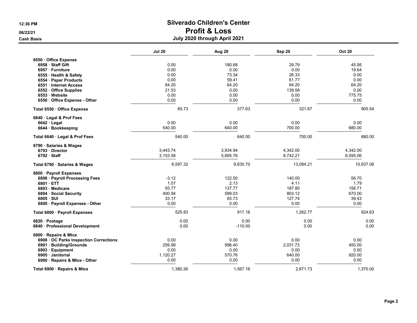|                                      | <b>Jul 20</b> | Aug 20    | Sep 20    | <b>Oct 20</b> |
|--------------------------------------|---------------|-----------|-----------|---------------|
| 6550 · Office Expense                |               |           |           |               |
| 6958 Staff Gift                      | 0.00          | 180.68    | 29.79     | 45.95         |
| 6957 · Furniture                     | 0.00          | 0.00      | 0.00      | 19.64         |
| 6555 Health & Safety                 | 0.00          | 73.34     | 26.33     | 0.00          |
| 6554 · Paper Products                | 0.00          | 59.41     | 61.77     | 0.00          |
| 6551 · Internet Access               | 64.20         | 64.20     | 64.20     | 64.20         |
| 6552 Office Supplies                 | 21.53         | 0.00      | 139.58    | 0.00          |
| 6553 Website                         | 0.00          | 0.00      | 0.00      | 775.75        |
| 6550 Office Expense - Other          | 0.00          | 0.00      | 0.00      | 0.00          |
| Total 6550 · Office Expense          | 85.73         | 377.63    | 321.67    | 905.54        |
| 6640 Legal & Prof Fees               |               |           |           |               |
| $6642 \cdot$ Legal                   | 0.00          | 0.00      | 0.00      | 0.00          |
| 6644 · Bookkeeping                   | 540.00        | 640.00    | 700.00    | 680.00        |
| Total 6640 · Legal & Prof Fees       | 540.00        | 640.00    | 700.00    | 680.00        |
| 6790 · Salaries & Wages              |               |           |           |               |
| 6793 Director                        | 3,443.74      | 3,934.94  | 4,342.00  | 4,342.00      |
| 6792 Staff                           | 3,153.58      | 5,695.76  | 8,742.21  | 6,595.06      |
| Total 6790 · Salaries & Wages        | 6,597.32      | 9,630.70  | 13,084.21 | 10,937.06     |
| 6800 · Payroll Expenses              |               |           |           |               |
| 6806 · Payroll Processing Fees       | $-3.12$       | 122.50    | 140.00    | 56.70         |
| 6801 ETT                             | 1.07          | 2.13      | 4.11      | 1.79          |
| 6803 Medicare                        | 93.77         | 137.77    | 187.80    | 156.71        |
| 6804 Social Security                 | 400.94        | 589.03    | 803.12    | 670.00        |
| 6805 · SUI                           | 33.17         | 65.73     | 127.74    | 39.43         |
| 6800 · Payroll Expenses - Other      | 0.00          | 0.00      | 0.00      | 0.00          |
| Total 6800 · Payroll Expenses        | 525.83        | 917.16    | 1,262.77  | 924.63        |
| 6820 · Postage                       | 0.00          | 0.00      | 0.00      | 0.00          |
| 6840 · Professional Development      | 0.00          | $-110.00$ | 0.00      | 0.00          |
| 6900 · Repairs & Mtce                |               |           |           |               |
| 6908 OC Parks Inspection Corrections | 0.00          | 0.00      | 0.00      | 0.00          |
| 6901 · Building/Grounds              | 259.99        | 996.40    | 2,031.73  | 450.00        |
| 6903 · Equipment                     | 0.00          | 0.00      | 0.00      | 0.00          |
| 6905 Janitorial                      | 1,120.27      | 570.76    | 640.00    | 920.00        |
| 6900 · Repairs & Mtce - Other        | 0.00          | 0.00      | 0.00      | 0.00          |
| Total 6900 · Repairs & Mtce          | 1,380.26      | 1,567.16  | 2,671.73  | 1,370.00      |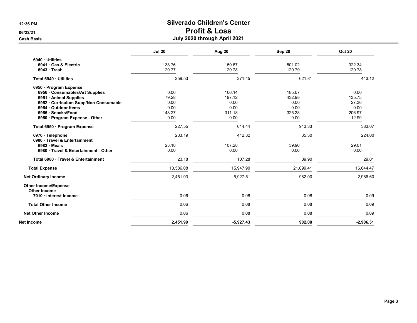|                                                    | <b>Jul 20</b> | Aug 20      | Sep 20    | <b>Oct 20</b> |
|----------------------------------------------------|---------------|-------------|-----------|---------------|
| 6940 · Utilities                                   |               |             |           |               |
| 6941 Gas & Electric                                | 138.76        | 150.67      | 501.02    | 322.34        |
| $6943$ Trash                                       | 120.77        | 120.78      | 120.79    | 120.78        |
| Total 6940 · Utilities                             | 259.53        | 271.45      | 621.81    | 443.12        |
| 6950 · Program Expense                             |               |             |           |               |
| 6956 Consumables/Art Supplies                      | 0.00          | 106.14      | 185.07    | 0.00          |
| 6951 · Animal Supplies                             | 79.28         | 197.12      | 432.98    | 135.75        |
| 6952 · Curriculum Supp/Non Consumable              | 0.00          | 0.00        | 0.00      | 27.36         |
| 6954 · Outdoor Items                               | 0.00          | 0.00        | 0.00      | 0.00          |
| 6955 · Snacks/Food                                 | 148.27        | 311.18      | 325.28    | 206.97        |
| 6950 · Program Expense - Other                     | 0.00          | 0.00        | 0.00      | 12.99         |
| Total 6950 · Program Expense                       | 227.55        | 614.44      | 943.33    | 383.07        |
| 6970 · Telephone<br>6980 Travel & Entertainment    | 233.19        | 412.32      | 35.30     | 224.00        |
| $6983 \cdot \text{Meals}$                          | 23.18         | 107.28      | 39.90     | 29.01         |
| 6980 Travel & Entertainment - Other                | 0.00          | 0.00        | 0.00      | 0.00          |
| Total 6980 Travel & Entertainment                  | 23.18         | 107.28      | 39.90     | 29.01         |
| <b>Total Expense</b>                               | 10,586.08     | 15,947.90   | 21,099.41 | 16,644.47     |
| <b>Net Ordinary Income</b>                         | 2,451.93      | $-5,927.51$ | 982.00    | $-2,986.60$   |
| <b>Other Income/Expense</b><br><b>Other Income</b> |               |             |           |               |
| 7010 · Interest Income                             | 0.06          | 0.08        | 0.08      | 0.09          |
| <b>Total Other Income</b>                          | 0.06          | 0.08        | 0.08      | 0.09          |
| <b>Net Other Income</b>                            | 0.06          | 0.08        | 0.08      | 0.09          |
| Net Income                                         | 2,451.99      | $-5,927.43$ | 982.08    | $-2,986.51$   |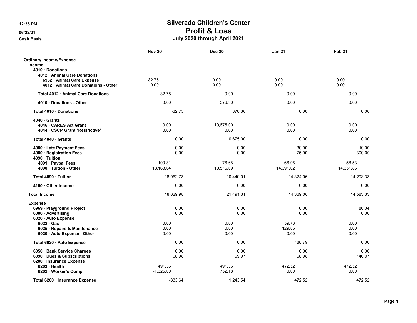|                                              | <b>Nov 20</b>          | <b>Dec 20</b>         | <b>Jan 21</b>         | Feb <sub>21</sub>     |
|----------------------------------------------|------------------------|-----------------------|-----------------------|-----------------------|
| <b>Ordinary Income/Expense</b>               |                        |                       |                       |                       |
| Income                                       |                        |                       |                       |                       |
| 4010 Donations<br>4012 Animal Care Donations |                        |                       |                       |                       |
| 6962 Animal Care Expense                     | $-32.75$               | 0.00                  | 0.00                  | 0.00                  |
| 4012 · Animal Care Donations - Other         | 0.00                   | 0.00                  | 0.00                  | 0.00                  |
| Total 4012 Animal Care Donations             | $-32.75$               | 0.00                  | 0.00                  | 0.00                  |
| 4010 Donations - Other                       | 0.00                   | 376.30                | 0.00                  | 0.00                  |
| Total 4010 Donations                         | $-32.75$               | 376.30                | 0.00                  | 0.00                  |
| 4040 Grants                                  |                        |                       |                       |                       |
| 4046 · CARES Act Grant                       | 0.00                   | 10,675.00             | 0.00                  | 0.00                  |
| 4044 CSCP Grant *Restrictive*                | 0.00                   | 0.00                  | 0.00                  | 0.00                  |
| Total 4040 Grants                            | 0.00                   | 10,675.00             | 0.00                  | 0.00                  |
| 4050 · Late Payment Fees                     | 0.00                   | 0.00                  | $-30.00$              | $-10.00$              |
| 4080 · Registration Fees                     | 0.00                   | 0.00                  | 75.00                 | 300.00                |
| 4090 · Tuition                               |                        |                       |                       |                       |
| 4091 · Paypal Fees<br>4090 Tuition - Other   | $-100.31$<br>18,163.04 | $-76.68$<br>10,516.69 | $-66.96$<br>14,391.02 | $-58.53$<br>14,351.86 |
|                                              |                        |                       |                       |                       |
| Total 4090 Tuition                           | 18,062.73              | 10,440.01             | 14,324.06             | 14,293.33             |
| 4100 Other Income                            | 0.00                   | 0.00                  | 0.00                  | 0.00                  |
| <b>Total Income</b>                          | 18,029.98              | 21,491.31             | 14,369.06             | 14,583.33             |
| <b>Expense</b>                               |                        |                       |                       |                       |
| 6969 · Playground Project                    | 0.00                   | 0.00                  | 0.00                  | 86.04                 |
| 6000 Advertising                             | 0.00                   | 0.00                  | 0.00                  | 0.00                  |
| 6020 · Auto Expense<br>$6022 \cdot Gas$      | 0.00                   | 0.00                  | 59.73                 | 0.00                  |
| 6025 · Repairs & Maintenance                 | 0.00                   | 0.00                  | 129.06                | 0.00                  |
| 6020 · Auto Expense - Other                  | 0.00                   | 0.00                  | 0.00                  | 0.00                  |
| Total 6020 · Auto Expense                    | 0.00                   | 0.00                  | 188.79                | 0.00                  |
| 6050 · Bank Service Charges                  | 0.00                   | 0.00                  | 0.00                  | 0.00                  |
| 6090 · Dues & Subscriptions                  | 68.98                  | 69.97                 | 68.98                 | 146.97                |
| 6200 · Insurance Expense                     |                        |                       |                       |                       |
| $6203 \cdot$ Health                          | 491.36                 | 491.36                | 472.52                | 472.52                |
| 6202 · Worker's Comp                         | $-1,325.00$            | 752.18                | 0.00                  | 0.00                  |
| Total 6200 · Insurance Expense               | $-833.64$              | 1.243.54              | 472.52                | 472.52                |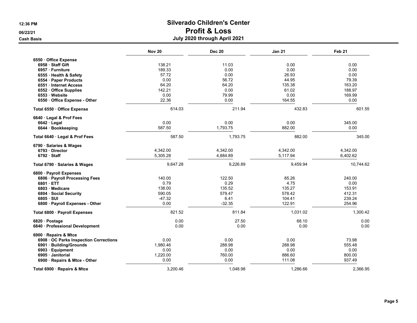Cash Basis July 2020 through April 2021

|                                      | <b>Nov 20</b> | <b>Dec 20</b> | <b>Jan 21</b> | Feb <sub>21</sub> |
|--------------------------------------|---------------|---------------|---------------|-------------------|
| 6550 · Office Expense                |               |               |               |                   |
| 6958 Staff Gift                      | 138.21        | 11.03         | 0.00          | 0.00              |
| 6957 · Furniture                     | 189.33        | 0.00          | 0.00          | 0.00              |
| 6555 · Health & Safety               | 57.72         | 0.00          | 26.93         | 0.00              |
| 6554 · Paper Products                | 0.00          | 56.72         | 44.95         | 79.39             |
| 6551 · Internet Access               | 64.20         | 64.20         | 135.38        | 163.20            |
| 6552 Office Supplies                 | 142.21        | 0.00          | 61.02         | 188.97            |
| 6553 Website                         | 0.00          | 79.99         | 0.00          | 169.99            |
| 6550 Office Expense - Other          | 22.36         | 0.00          | 164.55        | 0.00              |
| Total 6550 Office Expense            | 614.03        | 211.94        | 432.83        | 601.55            |
| 6640 · Legal & Prof Fees             |               |               |               |                   |
| $6642 \cdot$ Legal                   | 0.00          | 0.00          | 0.00          | 345.00            |
| 6644 · Bookkeeping                   | 587.50        | 1,793.75      | 882.00        | 0.00              |
| Total 6640 · Legal & Prof Fees       | 587.50        | 1,793.75      | 882.00        | 345.00            |
| 6790 · Salaries & Wages              |               |               |               |                   |
| 6793 Director                        | 4,342.00      | 4,342.00      | 4,342.00      | 4,342.00          |
| $6792 \cdot$ Staff                   | 5,305.28      | 4,884.89      | 5,117.94      | 6,402.62          |
| Total 6790 · Salaries & Wages        | 9,647.28      | 9,226.89      | 9,459.94      | 10,744.62         |
| 6800 · Payroll Expenses              |               |               |               |                   |
| 6806 · Payroll Processing Fees       | 140.00        | 122.50        | 85.26         | 240.00            |
| 6801 · ETT                           | 0.79          | 0.29          | 4.75          | 0.00              |
| 6803 Medicare                        | 138.00        | 135.52        | 135.27        | 153.91            |
| 6804 Social Security                 | 590.05        | 579.47        | 578.42        | 412.31            |
| 6805 · SUI                           | $-47.32$      | 6.41          | 104.41        | 239.24            |
| 6800 · Payroll Expenses - Other      | 0.00          | $-32.35$      | 122.91        | 254.96            |
| Total 6800 · Payroll Expenses        | 821.52        | 811.84        | 1,031.02      | 1,300.42          |
| 6820 · Postage                       | 0.00          | 27.50         | 68.10         | 0.00              |
| 6840 · Professional Development      | 0.00          | 0.00          | 0.00          | 0.00              |
| 6900 · Repairs & Mtce                |               |               |               |                   |
| 6908 OC Parks Inspection Corrections | 0.00          | 0.00          | 0.00          | 73.98             |
| 6901 · Building/Grounds              | 1,980.46      | 288.98        | 288.98        | 555.48            |
| 6903 · Equipment                     | 0.00          | 0.00          | 0.00          | 0.00              |
| 6905 Janitorial                      | 1,220.00      | 760.00        | 886.60        | 800.00            |
| 6900 · Repairs & Mtce - Other        | 0.00          | 0.00          | 111.08        | 937.49            |
| Total 6900 · Repairs & Mtce          | 3,200.46      | 1,048.98      | 1,286.66      | 2,366.95          |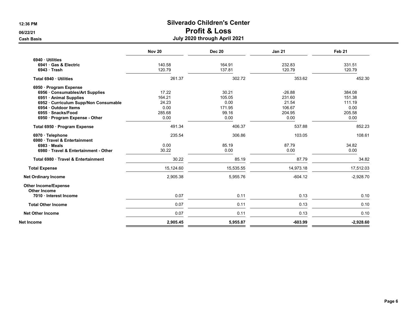|                                                    | <b>Nov 20</b> | <b>Dec 20</b> | <b>Jan 21</b> | Feb 21      |
|----------------------------------------------------|---------------|---------------|---------------|-------------|
| 6940 Utilities                                     |               |               |               |             |
| 6941 Gas & Electric                                | 140.58        | 164.91        | 232.83        | 331.51      |
| 6943 Trash                                         | 120.79        | 137.81        | 120.79        | 120.79      |
| Total 6940 · Utilities                             | 261.37        | 302.72        | 353.62        | 452.30      |
| 6950 · Program Expense                             |               |               |               |             |
| 6956 Consumables/Art Supplies                      | 17.22         | 30.21         | $-26.88$      | 384.08      |
| 6951 Animal Supplies                               | 164.21        | 105.05        | 231.60        | 151.38      |
| 6952 · Curriculum Supp/Non Consumable              | 24.23         | 0.00          | 21.54         | 111.19      |
| 6954 · Outdoor Items                               | 0.00          | 171.95        | 106.67        | 0.00        |
| 6955 · Snacks/Food                                 | 285.68        | 99.16         | 204.95        | 205.58      |
| 6950 · Program Expense - Other                     | 0.00          | 0.00          | 0.00          | 0.00        |
| Total 6950 · Program Expense                       | 491.34        | 406.37        | 537.88        | 852.23      |
| 6970 · Telephone<br>6980 Travel & Entertainment    | 235.54        | 306.86        | 103.05        | 108.61      |
| 6983 Meals                                         | 0.00          | 85.19         | 87.79         | 34.82       |
| 6980 Travel & Entertainment - Other                | 30.22         | 0.00          | 0.00          | 0.00        |
| Total 6980 Travel & Entertainment                  | 30.22         | 85.19         | 87.79         | 34.82       |
| <b>Total Expense</b>                               | 15,124.60     | 15,535.55     | 14,973.18     | 17,512.03   |
| <b>Net Ordinary Income</b>                         | 2,905.38      | 5,955.76      | $-604.12$     | $-2,928.70$ |
| <b>Other Income/Expense</b><br><b>Other Income</b> |               |               |               |             |
| 7010 · Interest Income                             | 0.07          | 0.11          | 0.13          | 0.10        |
| <b>Total Other Income</b>                          | 0.07          | 0.11          | 0.13          | 0.10        |
| <b>Net Other Income</b>                            | 0.07          | 0.11          | 0.13          | 0.10        |
| Net Income                                         | 2,905.45      | 5,955.87      | $-603.99$     | $-2,928.60$ |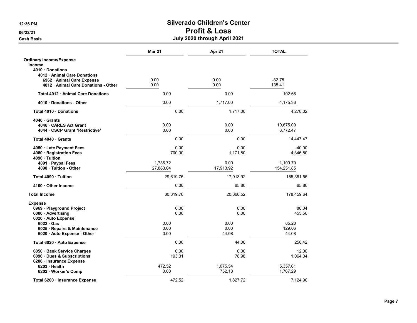|                                           | <b>Mar 21</b> | Apr 21    | <b>TOTAL</b> |
|-------------------------------------------|---------------|-----------|--------------|
| <b>Ordinary Income/Expense</b>            |               |           |              |
| <b>Income</b>                             |               |           |              |
| 4010 Donations                            |               |           |              |
| 4012 Animal Care Donations                |               |           |              |
| 6962 · Animal Care Expense                | 0.00          | 0.00      | $-32.75$     |
| 4012 · Animal Care Donations - Other      | 0.00          | 0.00      | 135.41       |
| <b>Total 4012 • Animal Care Donations</b> | 0.00          | 0.00      | 102.66       |
| 4010 Donations - Other                    | 0.00          | 1,717.00  | 4,175.36     |
| Total 4010 Donations                      | 0.00          | 1,717.00  | 4,278.02     |
| $4040 \cdot$ Grants                       |               |           |              |
| 4046 CARES Act Grant                      | 0.00          | 0.00      | 10,675.00    |
| 4044 CSCP Grant *Restrictive*             | 0.00          | 0.00      | 3,772.47     |
| Total 4040 Grants                         | 0.00          | 0.00      | 14,447.47    |
| 4050 · Late Payment Fees                  | 0.00          | 0.00      | $-40.00$     |
| 4080 · Registration Fees                  | 700.00        | 1,171.80  | 4,346.80     |
| 4090 · Tuition                            |               |           |              |
| 4091 Paypal Fees                          | 1.736.72      | 0.00      | 1,109.70     |
| 4090 Tuition - Other                      | 27,883.04     | 17,913.92 | 154,251.85   |
| Total 4090 Tuition                        | 29,619.76     | 17,913.92 | 155,361.55   |
| 4100 Other Income                         | 0.00          | 65.80     | 65.80        |
| <b>Total Income</b>                       | 30,319.76     | 20,868.52 | 178,459.64   |
| <b>Expense</b>                            |               |           |              |
| 6969 · Playground Project                 | 0.00          | 0.00      | 86.04        |
| 6000 · Advertising                        | 0.00          | 0.00      | 455.56       |
| 6020 · Auto Expense                       |               |           |              |
| $6022 \cdot Gas$                          | 0.00          | 0.00      | 85.28        |
| 6025 · Repairs & Maintenance              | 0.00          | 0.00      | 129.06       |
| 6020 · Auto Expense - Other               | 0.00          | 44.08     | 44.08        |
| Total 6020 · Auto Expense                 | 0.00          | 44.08     | 258.42       |
| 6050 · Bank Service Charges               | 0.00          | 0.00      | 12.00        |
| 6090 · Dues & Subscriptions               | 193.31        | 78.98     | 1,064.34     |
| 6200 · Insurance Expense                  |               |           |              |
| 6203 Health                               | 472.52        | 1,075.54  | 5,357.61     |
| 6202 · Worker's Comp                      | 0.00          | 752.18    | 1,767.29     |
| Total 6200 · Insurance Expense            | 472.52        | 1,827.72  | 7,124.90     |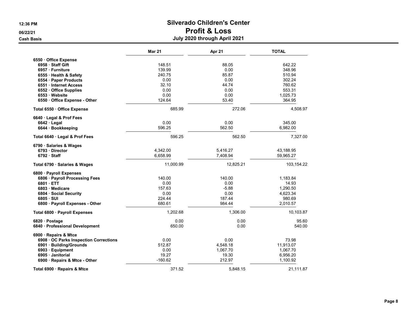|                                      | <b>Mar 21</b> | Apr 21    | <b>TOTAL</b> |
|--------------------------------------|---------------|-----------|--------------|
| 6550 Office Expense                  |               |           |              |
| 6958 Staff Gift                      | 148.51        | 88.05     | 642.22       |
| 6957 · Furniture                     | 139.99        | 0.00      | 348.96       |
| 6555 Health & Safety                 | 240.75        | 85.87     | 510.94       |
| 6554 · Paper Products                | 0.00          | 0.00      | 302.24       |
| 6551 · Internet Access               | 32.10         | 44.74     | 760.62       |
| 6552 · Office Supplies               | 0.00          | 0.00      | 553.31       |
| 6553 Website                         | 0.00          | 0.00      | 1,025.73     |
| 6550 Office Expense - Other          | 124.64        | 53.40     | 364.95       |
| Total 6550 Office Expense            | 685.99        | 272.06    | 4,508.97     |
| 6640 · Legal & Prof Fees             |               |           |              |
| $6642 \cdot$ Legal                   | 0.00          | 0.00      | 345.00       |
| 6644 · Bookkeeping                   | 596.25        | 562.50    | 6,982.00     |
| Total 6640 · Legal & Prof Fees       | 596.25        | 562.50    | 7,327.00     |
| 6790 · Salaries & Wages              |               |           |              |
| 6793 Director                        | 4,342.00      | 5,416.27  | 43,188.95    |
| 6792 Staff                           | 6,658.99      | 7,408.94  | 59,965.27    |
| Total 6790 · Salaries & Wages        | 11,000.99     | 12,825.21 | 103,154.22   |
| 6800 · Payroll Expenses              |               |           |              |
| 6806 · Payroll Processing Fees       | 140.00        | 140.00    | 1,183.84     |
| 6801 ETT                             | 0.00          | 0.00      | 14.93        |
| 6803 · Medicare                      | 157.63        | $-5.88$   | 1,290.50     |
| 6804 Social Security                 | 0.00          | 0.00      | 4,623.34     |
| 6805 · SUI                           | 224.44        | 187.44    | 980.69       |
| 6800 · Payroll Expenses - Other      | 680.61        | 984.44    | 2,010.57     |
| Total 6800 · Payroll Expenses        | 1,202.68      | 1,306.00  | 10,103.87    |
| 6820 · Postage                       | 0.00          | 0.00      | 95.60        |
| 6840 · Professional Development      | 650.00        | 0.00      | 540.00       |
| 6900 · Repairs & Mtce                |               |           |              |
| 6908 OC Parks Inspection Corrections | 0.00          | 0.00      | 73.98        |
| 6901 · Building/Grounds              | 512.87        | 4,548.18  | 11,913.07    |
| 6903 · Equipment                     | 0.00          | 1,067.70  | 1,067.70     |
| 6905 Janitorial                      | 19.27         | 19.30     | 6,956.20     |
| 6900 · Repairs & Mtce - Other        | $-160.62$     | 212.97    | 1,100.92     |
| Total 6900 · Repairs & Mtce          | 371.52        | 5.848.15  | 21.111.87    |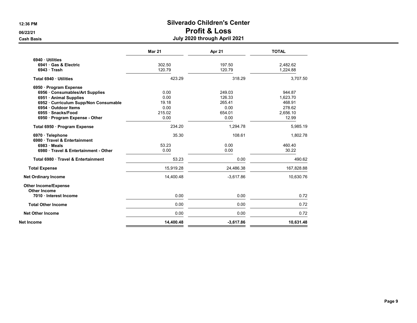|                                     | <b>Mar 21</b> | Apr 21      | <b>TOTAL</b> |
|-------------------------------------|---------------|-------------|--------------|
| 6940 Utilities                      |               |             |              |
| 6941 Gas & Electric                 | 302.50        | 197.50      | 2,482.62     |
| 6943 Trash                          | 120.79        | 120.79      | 1,224.88     |
| Total 6940 · Utilities              | 423.29        | 318.29      | 3,707.50     |
| 6950 · Program Expense              |               |             |              |
| 6956 · Consumables/Art Supplies     | 0.00          | 249.03      | 944.87       |
| 6951 · Animal Supplies              | 0.00          | 126.33      | 1,623.70     |
| 6952 Curriculum Supp/Non Consumable | 19.18         | 265.41      | 468.91       |
| 6954 · Outdoor Items                | 0.00          | 0.00        | 278.62       |
| 6955 · Snacks/Food                  | 215.02        | 654.01      | 2,656.10     |
| 6950 · Program Expense - Other      | 0.00          | 0.00        | 12.99        |
| Total 6950 · Program Expense        | 234.20        | 1,294.78    | 5,985.19     |
| 6970 · Telephone                    | 35.30         | 108.61      | 1,802.78     |
| 6980 Travel & Entertainment         |               |             |              |
| $6983 \cdot Meals$                  | 53.23         | 0.00        | 460.40       |
| 6980 Travel & Entertainment - Other | 0.00          | 0.00        | 30.22        |
| Total 6980 · Travel & Entertainment | 53.23         | 0.00        | 490.62       |
| <b>Total Expense</b>                | 15,919.28     | 24,486.38   | 167,828.88   |
| <b>Net Ordinary Income</b>          | 14,400.48     | $-3,617.86$ | 10,630.76    |
| <b>Other Income/Expense</b>         |               |             |              |
| <b>Other Income</b>                 |               |             |              |
| 7010 Interest Income                | 0.00          | 0.00        | 0.72         |
| <b>Total Other Income</b>           | 0.00          | 0.00        | 0.72         |
| <b>Net Other Income</b>             | 0.00          | 0.00        | 0.72         |
| Net Income                          | 14.400.48     | $-3,617.86$ | 10,631.48    |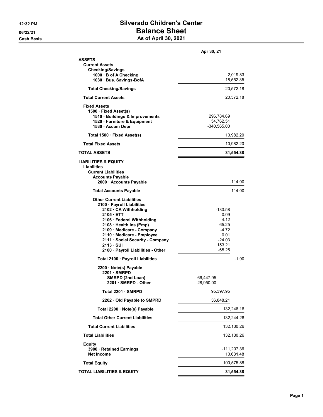#### 12:32 PM Silverado Children's Center 06/22/21 **Balance Sheet** Cash Basis **As of April 30, 2021**

|  |  | As of April 30, 2021 |  |  |
|--|--|----------------------|--|--|
|--|--|----------------------|--|--|

|                                                                                                                                                                                                                                                                                                                                | Apr 30, 21                                                                          |
|--------------------------------------------------------------------------------------------------------------------------------------------------------------------------------------------------------------------------------------------------------------------------------------------------------------------------------|-------------------------------------------------------------------------------------|
| <b>ASSETS</b><br><b>Current Assets</b><br><b>Checking/Savings</b><br>1000 · B of A Checking<br>1030 Bus. Savings-BofA                                                                                                                                                                                                          | 2,019.83<br>18,552.35                                                               |
| <b>Total Checking/Savings</b>                                                                                                                                                                                                                                                                                                  | 20,572.18                                                                           |
| <b>Total Current Assets</b>                                                                                                                                                                                                                                                                                                    | 20,572.18                                                                           |
| <b>Fixed Assets</b><br>1500 · Fixed Asset(s)<br>1510 · Buildings & Improvements<br>1520 · Furniture & Equipment<br>1530 · Accum Depr                                                                                                                                                                                           | 296,784.69<br>54,762.51<br>$-340,565.00$                                            |
| Total 1500 · Fixed Asset(s)                                                                                                                                                                                                                                                                                                    | 10,982.20                                                                           |
| <b>Total Fixed Assets</b>                                                                                                                                                                                                                                                                                                      | 10,982.20                                                                           |
| <b>TOTAL ASSETS</b>                                                                                                                                                                                                                                                                                                            | 31,554.38                                                                           |
| <b>LIABILITIES &amp; EQUITY</b><br>Liabilities<br><b>Current Liabilities</b><br><b>Accounts Payable</b><br>2000 · Accounts Payable                                                                                                                                                                                             | -114 00                                                                             |
| <b>Total Accounts Payable</b>                                                                                                                                                                                                                                                                                                  | $-114.00$                                                                           |
| <b>Other Current Liabilities</b><br>2100 · Payroll Liabilities<br>2102 · CA Withholding<br>$2105$ ETT<br>2106 · Federal Withholding<br>2108 · Health Ins (Emp)<br>2109 · Medicare - Company<br>2110 · Medicare - Employee<br>2111 · Social Security - Company<br>$2113 \cdot \text{SUI}$<br>2100 · Payroll Liabilities - Other | -130.58<br>0.09<br>4.12<br>65.25<br>$-4.72$<br>0.01<br>$-24.03$<br>153.21<br>-65.25 |
| Total 2100 · Payroll Liabilities                                                                                                                                                                                                                                                                                               | $-1.90$                                                                             |
| 2200 · Note(s) Payable<br>2201 · SMRPD<br>SMRPD (2nd Loan)<br>2201 · SMRPD - Other<br>Total 2201 · SMRPD                                                                                                                                                                                                                       | 66,447.95<br>28,950.00<br>95,397.95                                                 |
| 2202 Old Payable to SMPRD                                                                                                                                                                                                                                                                                                      | 36,848.21                                                                           |
| Total 2200 · Note(s) Payable                                                                                                                                                                                                                                                                                                   | 132,246.16                                                                          |
| <b>Total Other Current Liabilities</b>                                                                                                                                                                                                                                                                                         | 132,244.26                                                                          |
| <b>Total Current Liabilities</b>                                                                                                                                                                                                                                                                                               | 132,130.26                                                                          |
| <b>Total Liabilities</b>                                                                                                                                                                                                                                                                                                       | 132,130.26                                                                          |
| Equity<br>3900 · Retained Earnings<br><b>Net Income</b>                                                                                                                                                                                                                                                                        | -111,207.36<br>10,631.48                                                            |
| <b>Total Equity</b>                                                                                                                                                                                                                                                                                                            | $-100,575.88$                                                                       |
| <b>TOTAL LIABILITIES &amp; EQUITY</b>                                                                                                                                                                                                                                                                                          | 31,554.38                                                                           |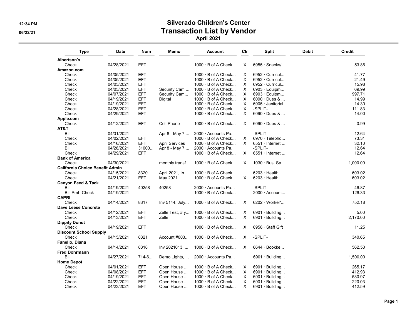#### 12:34 PM Silverado Children's Center 06/22/21 Observice Contraction Cist by Vendor April 2021

Type Date Num Memo Account Clr Split Debit Credit Albertson's Check 04/28/2021 EFT 1000 · B of A Check... X 6955 · Snacks/... 53.86 Amazon.com Check 04/05/2021 EFT 1000 · B of A Check... X 6952 · Curricul... 41.77 Check 04/05/2021 EFT 1000 · B of A Check... X 6952 · Curricul... 21.49  $1000 \cdot B$  of A Check... Check 04/05/2021 EFT Security Cam ... 1000 · B of A Check... X 6903 · Equipm... 69.99 Check 04/07/2021 EFT Security Cam... 1000 · B of A Check... X 6903 · Equipm... 997.71 Check 04/19/2021 EFT Digital 1000 · B of A Check... X 6090 · Dues & ... 14.99 Check 04/19/2021 EFT 1000 · B of A Check... X 6905 · Janitorial 14.30 Check 04/28/2021 EFT 1000 · B of A Check... X -SPLIT- 111.83  $1000 \cdot B$  of A Check... Apple.com<br>Check 04/12/2021 EFT Cell Phone 1000 · B of A Check... X 6090 · Dues & ... 0.99 · 0.99 AT&T Bill 04/01/2021 Apr 8 - May 7 ... 2000 · Accounts Pa... -SPLIT- 12.64 Check 04/02/2021 EFT 1000 · B of A Check... X 6970 · Telepho... 73.31 Check 04/16/2021 EFT April Services 1000 · B of A Check... X 6551 · Internet ... 32.10 Bill 04/28/2021 31000... Apr 8 - May 7 ... 2000 · Accounts Pa... -SPLIT- 12.64 Check 04/29/2021 EFT 1000 · B of A Check... X 6551 · Internet ... 12.64 Bank of America Check 04/30/2021 monthly transf... 1000 · B of A Check... X 1030 · Bus. Sa... 1,000.00 California Choice Benefit Admin Check 04/15/2021 8320 April 2021, In... 1000 · B of A Check... 6203 · Health 603.02  $1000 \cdot B$  of A Check... Canyon Feed & Tack Bill 04/19/2021 40258 40258 2000 · Accounts Pa... -SPLIT- 46.87 Bill Pmt -Check 04/19/2021 1000 · B of A Check 2000 · Account... 2000 · Account... 126.33 **CAPRI** Check 04/14/2021 8317 Inv 5144, July... 1000 · B of A Check... X 6202 · Worker'... 752.18 Dave Leese Concrete Check 04/12/2021 EFT Zelle Test, # y... 1000 · B of A Check... X 6901 · Building... 5.00  $1000 \cdot B$  of A Check... Dippity Donut Check 04/19/2021 EFT 1000 · B of A Check... X 6958 · Staff Gift 11.25 Discount School Supply Check 04/15/2021 8321 Account #003... 1000 · B of A Check... X -SPLIT- 340.65 Fanello, Diana Check 04/14/2021 8318 Inv 2021013, ... 1000 · B of A Check... X 6644 · Bookke... 562.50 Fred Dohrmann Bill 04/27/2021 714-6... Demo Lights, ... 2000 · Accounts Pa... 6901 · Building... 1,500.00 Home Depot Check 04/01/2021 EFT Open House ... 1000 · B of A Check... X 6901 · Building... 265.17 04/08/2021 EFT Open House … 1000 · B of A Check... X 6901 · Building... 412.93<br>04/19/2021 EFT Open House … 1000 · B of A Check... X 6901 · Building... Check 04/19/2021 EFT Open House ... 1000 · B of A Check... X 6901 Check 04/22/2021 EFT Open House ... 1000 · B of A Check... X 6901 · Building... 220.03  $EFT$  Open House  $\ldots$  1000  $\cdot$  B of A Check...  $\ldots$  6901  $\cdot$  Building...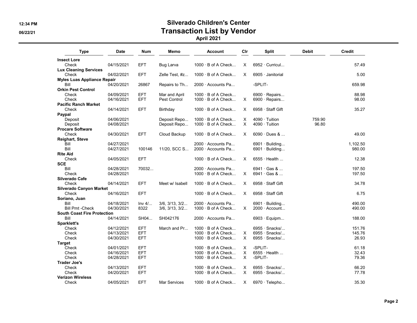# 12:34 PM Silverado Children's Center 06/22/21 Contraction List by Vendor

April 2021

| <b>Type</b>                        | <b>Date</b> | <b>Num</b> | Memo                | <b>Account</b>            | Cir      | <b>Split</b>            | <b>Debit</b> | Credit   |
|------------------------------------|-------------|------------|---------------------|---------------------------|----------|-------------------------|--------------|----------|
| <b>Insect Lore</b>                 |             |            |                     |                           |          |                         |              |          |
| Check                              | 04/15/2021  | <b>EFT</b> | Bug Larva           | $1000 \cdot B$ of A Check | $\times$ | $6952 \cdot$ Curricul   |              | 57.49    |
| <b>Lux Cleaning Services</b>       |             |            |                     |                           |          |                         |              |          |
| Check                              | 04/02/2021  | <b>EFT</b> | Zelle Test, #z      | $1000 \cdot B$ of A Check | X        | $6905 \cdot$ Janitorial |              | 5.00     |
| <b>Myles Luas Appliance Repair</b> |             |            |                     |                           |          |                         |              |          |
| Bill                               | 04/20/2021  | 26867      | Repairs to Th       | $2000 \cdot$ Accounts Pa  |          | -SPLIT-                 |              | 659.98   |
| <b>Orkin Pest Control</b>          |             |            |                     |                           |          |                         |              |          |
| Check                              | 04/09/2021  | <b>EFT</b> | Mar and April       | $1000 \cdot B$ of A Check |          | 6900 · Repairs          |              | 88.98    |
| Check                              | 04/16/2021  | <b>EFT</b> | Pest Control        | 1000 · B of A Check       | X        | 6900 · Repairs          |              | 98.00    |
| <b>Pacific Ranch Market</b>        |             |            |                     |                           |          |                         |              |          |
| Check                              | 04/14/2021  | <b>EFT</b> | Birthday            | $1000 \cdot B$ of A Check | $\times$ | $6958 \cdot$ Staff Gift |              | 35.27    |
| Paypal                             |             |            |                     |                           |          |                         |              |          |
| Deposit                            | 04/06/2021  |            | Deposit Repo        | $1000 \cdot B$ of A Check | Χ        | $4090 \cdot$ Tuition    | 759.90       |          |
| Deposit                            | 04/08/2021  |            | Deposit Repo        | $1000 \cdot B$ of A Check | $\times$ | 4090 · Tuition          | 96.80        |          |
| <b>Procare Software</b>            |             |            |                     |                           |          |                         |              |          |
| Check                              | 04/30/2021  | <b>EFT</b> | Cloud Backup        | $1000 \cdot B$ of A Check | $\times$ | $6090 \cdot$ Dues &     |              | 49.00    |
| Reighart, Steve                    |             |            |                     |                           |          |                         |              |          |
| Bill                               | 04/27/2021  |            |                     | $2000 \cdot$ Accounts Pa  |          | $6901 \cdot$ Building   |              | 1,102.50 |
| Bill                               | 04/27/2021  | 100146     | 11/20, SCC S        | 2000 · Accounts Pa        |          | $6901 \cdot$ Building   |              | 980.00   |
| <b>Rite Aid</b>                    |             |            |                     |                           |          |                         |              |          |
| Check                              | 04/05/2021  | <b>EFT</b> |                     | $1000 \cdot B$ of A Check | $\times$ | $6555 \cdot$ Health     |              | 12.38    |
| <b>SCE</b>                         |             |            |                     |                           |          |                         |              |          |
| Bill                               | 04/28/2021  | 70032      |                     | 2000 · Accounts Pa        |          | $6941 \cdot$ Gas &      |              | 197.50   |
| Check                              |             |            |                     |                           | X        | $6941 \cdot$ Gas &      |              | 197.50   |
|                                    | 04/28/2021  |            |                     | $1000 \cdot B$ of A Check |          |                         |              |          |
| Silverado Cafe                     |             |            |                     |                           |          |                         |              |          |
| Check                              | 04/14/2021  | <b>EFT</b> | Meet w/ Isabell     | $1000 \cdot B$ of A Check | $\times$ | 6958 · Staff Gift       |              | 34.78    |
| <b>Silverado Canyon Market</b>     |             |            |                     |                           |          |                         |              |          |
| Check                              | 04/16/2021  | <b>EFT</b> |                     | $1000 \cdot B$ of A Check | $\times$ | 6958 · Staff Gift       |              | 6.75     |
| Soriano, Juan                      |             |            |                     |                           |          |                         |              |          |
| Bill                               | 04/18/2021  | Inv 4/     | 3/6.3/13.3/2        | $2000 \cdot$ Accounts Pa  |          | $6901 \cdot$ Building   |              | 490.00   |
| <b>Bill Pmt -Check</b>             | 04/30/2021  | 8322       | 3/6, 3/13, 3/2      | $1000 \cdot B$ of A Check | $\times$ | $2000 \cdot$ Account    |              | 490.00   |
| <b>South Coast Fire Protection</b> |             |            |                     |                           |          |                         |              |          |
| Bill                               | 04/14/2021  | SH04       | SH042176            | 2000 · Accounts Pa        |          | $6903 \cdot$ Equipm     |              | 188.00   |
| Sparklett's                        |             |            |                     |                           |          |                         |              |          |
| Check                              | 04/12/2021  | <b>EFT</b> | March and Pr        | $1000 \cdot B$ of A Check |          | $6955 \cdot$ Snacks/    |              | 151.76   |
| Check                              | 04/13/2021  | <b>EFT</b> |                     | $1000 \cdot B$ of A Check | X        | $6955 \cdot$ Snacks/    |              | 145.76   |
| Check                              | 04/30/2021  | <b>EFT</b> |                     | $1000 \cdot B$ of A Check | X        | 6955 · Snacks/          |              | 26.93    |
| <b>Target</b>                      |             |            |                     |                           |          |                         |              |          |
| Check                              | 04/01/2021  | <b>EFT</b> |                     | $1000 \cdot B$ of A Check | X        | -SPLIT-                 |              | 61.18    |
| Check                              | 04/16/2021  | <b>EFT</b> |                     | $1000 \cdot B$ of A Check | X        | $6555 \cdot$ Health     |              | 32.43    |
| Check                              | 04/28/2021  | <b>EFT</b> |                     | $1000 \cdot B$ of A Check | $\times$ | -SPLIT-                 |              | 79.36    |
| <b>Trader Joe's</b>                |             |            |                     |                           |          |                         |              |          |
| Check                              | 04/13/2021  | <b>EFT</b> |                     | $1000 \cdot B$ of A Check | Χ        | $6955 \cdot$ Snacks/    |              | 66.20    |
| Check                              | 04/20/2021  | <b>EFT</b> |                     | $1000 \cdot B$ of A Check | $\times$ | $6955 \cdot$ Snacks/    |              | 77.78    |
| <b>Verizon Wireless</b>            |             |            |                     |                           |          |                         |              |          |
| Check                              | 04/05/2021  | <b>EFT</b> | <b>Mar Services</b> | $1000 \cdot B$ of A Check | X        | $6970 \cdot$ Telepho    |              | 35.30    |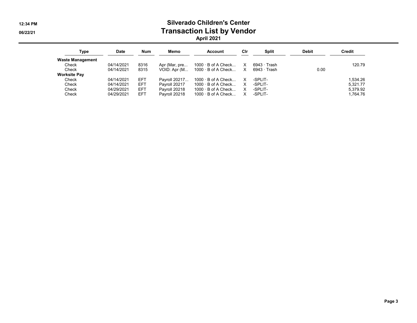#### 12:34 PM Silverado Children's Center 06/22/21 Contraction List by Vendor April 2021

| Type                    | <b>Date</b> | <b>Num</b> | Memo          | <b>Account</b>                            | Cir          | Split        | <b>Debit</b> | Credit   |
|-------------------------|-------------|------------|---------------|-------------------------------------------|--------------|--------------|--------------|----------|
| <b>Waste Management</b> |             |            |               |                                           |              |              |              |          |
| Check                   | 04/14/2021  | 8316       | Apr (Mar, pre | 1000 $\cdot$ B of A Check                 | $\mathsf{X}$ | 6943 · Trash |              | 120.79   |
| Check                   | 04/14/2021  | 8315       |               | VOID: Apr $(M 1000 \cdot B)$ of A Check X |              | 6943 · Trash | 0.00         |          |
| <b>Worksite Pay</b>     |             |            |               |                                           |              |              |              |          |
| Check                   | 04/14/2021  | <b>EFT</b> | Pavroll 20217 | $1000 \cdot B$ of A Check                 | X.           | -SPLIT-      |              | 1.534.26 |
| Check                   | 04/14/2021  | <b>EFT</b> | Payroll 20217 | $1000 \cdot B$ of A Check                 | $\mathsf{X}$ | -SPLIT-      |              | 5.321.77 |
| Check                   | 04/29/2021  | <b>EFT</b> | Payroll 20218 | $1000 \cdot B$ of A Check                 | X            | -SPLIT-      |              | 5.379.92 |
| Check                   | 04/29/2021  | <b>EFT</b> | Payroll 20218 | $1000 \cdot B$ of A Check                 | X            | -SPLIT-      |              | 1,764.76 |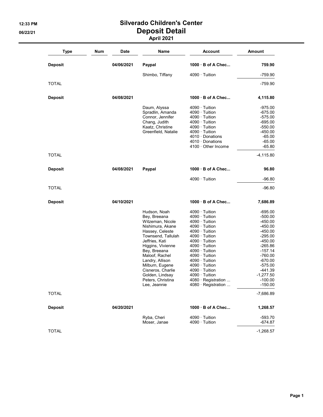#### 12:33 PM Silverado Children's Center 06/22/21 Deposit Detail April 2021

| <b>Type</b>    | Num | Date       | Name                | <b>Account</b>         | <b>Amount</b> |
|----------------|-----|------------|---------------------|------------------------|---------------|
| <b>Deposit</b> |     | 04/06/2021 | Paypal              | 1000 · B of A Chec     | 759.90        |
|                |     |            | Shimbo, Tiffany     | $4090 \cdot$ Tuition   | $-759.90$     |
| <b>TOTAL</b>   |     |            |                     |                        | $-759.90$     |
| <b>Deposit</b> |     | 04/08/2021 |                     | 1000 B of A Chec       | 4,115.80      |
|                |     |            | Daum, Alyssa        | $4090 \cdot$ Tuition   | $-975.00$     |
|                |     |            | Spradlin, Amanda    | $4090 \cdot$ Tuition   | $-675.00$     |
|                |     |            | Connor, Jennifer    | $4090 \cdot$ Tuition   | $-575.00$     |
|                |     |            | Chang, Judith       | $4090 \cdot$ Tuition   | $-695.00$     |
|                |     |            | Kaatz, Christine    | $4090 \cdot$ Tuition   | $-550.00$     |
|                |     |            | Greenfield, Natalie | $4090 \cdot$ Tuition   | $-450.00$     |
|                |     |            |                     | $4010 \cdot$ Donations | $-65.00$      |
|                |     |            |                     | $4010 \cdot$ Donations | $-65.00$      |
|                |     |            |                     | 4100 · Other Income    | $-65.80$      |
| <b>TOTAL</b>   |     |            |                     |                        | -4,115.80     |
| <b>Deposit</b> |     | 04/08/2021 | Paypal              | 1000 B of A Chec       | 96.80         |
|                |     |            |                     | $4090 \cdot$ Tuition   | $-96.80$      |
| <b>TOTAL</b>   |     |            |                     |                        | $-96.80$      |
| <b>Deposit</b> |     | 04/10/2021 |                     | 1000 B of A Chec       | 7,686.89      |
|                |     |            | Hudson, Noah        | $4090 \cdot$ Tuition   | $-695.00$     |
|                |     |            | Bey, Breeana        | $4090 \cdot$ Tuition   | $-500.00$     |
|                |     |            | Witzeman, Nicole    | $4090 \cdot$ Tuition   | -450.00       |
|                |     |            | Nishimura, Akane    | $4090 \cdot$ Tuition   | $-450.00$     |
|                |     |            | Hassey, Celeste     | $4090 \cdot$ Tuition   | $-450.00$     |
|                |     |            | Townsend, Tallulah  | 4090 · Tuition         | $-295.00$     |
|                |     |            | Jeffries, Kati      | 4090 · Tuition         | $-450.00$     |
|                |     |            | Higgins, Vivienne   | 4090 · Tuition         | $-265.86$     |
|                |     |            | Bey, Breeana        | 4090 · Tuition         | $-157.14$     |
|                |     |            | Maloof, Rachel      | $4090 \cdot$ Tuition   | $-760.00$     |
|                |     |            | Landry, Allison     | 4090 · Tuition         | $-670.00$     |
|                |     |            | Milburn, Eugene     | $4090 \cdot$ Tuition   | $-575.00$     |
|                |     |            | Cisneros, Charlie   | 4090 · Tuition         | $-441.39$     |
|                |     |            | Golden, Lindsay     | $4090 \cdot$ Tuition   | $-1,277.50$   |
|                |     |            | Peters, Christina   | 4080 · Registration    | $-100.00$     |
|                |     |            | Lee, Jeannie        | 4080 · Registration    | $-150.00$     |
| <b>TOTAL</b>   |     |            |                     |                        | $-7,686.89$   |
| <b>Deposit</b> |     | 04/20/2021 |                     | 1000 · B of A Chec     | 1,268.57      |
|                |     |            | Ryba, Cheri         | 4090 · Tuition         | $-593.70$     |
|                |     |            | Moser, Janae        | $4090 \cdot$ Tuition   | -674.87       |
| <b>TOTAL</b>   |     |            |                     |                        | $-1,268.57$   |